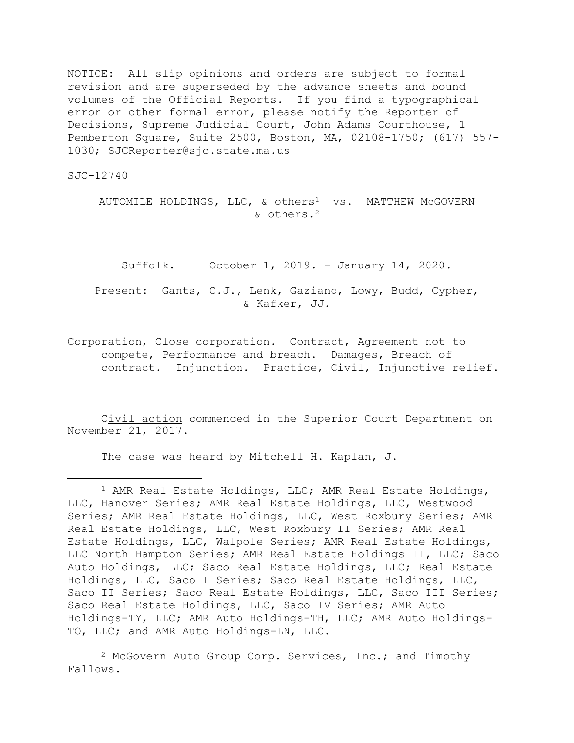NOTICE: All slip opinions and orders are subject to formal revision and are superseded by the advance sheets and bound volumes of the Official Reports. If you find a typographical error or other formal error, please notify the Reporter of Decisions, Supreme Judicial Court, John Adams Courthouse, 1 Pemberton Square, Suite 2500, Boston, MA, 02108-1750; (617) 557- 1030; SJCReporter@sjc.state.ma.us

SJC-12740

÷.

AUTOMILE HOLDINGS, LLC, & others<sup>1</sup> vs. MATTHEW McGOVERN & others.<sup>2</sup>

Suffolk. October 1, 2019. - January 14, 2020.

Present: Gants, C.J., Lenk, Gaziano, Lowy, Budd, Cypher, & Kafker, JJ.

Corporation, Close corporation. Contract, Agreement not to compete, Performance and breach. Damages, Breach of contract. Injunction. Practice, Civil, Injunctive relief.

Civil action commenced in the Superior Court Department on November 21, 2017.

The case was heard by Mitchell H. Kaplan, J.

<sup>2</sup> McGovern Auto Group Corp. Services, Inc.; and Timothy Fallows.

<sup>&</sup>lt;sup>1</sup> AMR Real Estate Holdings, LLC; AMR Real Estate Holdings, LLC, Hanover Series; AMR Real Estate Holdings, LLC, Westwood Series; AMR Real Estate Holdings, LLC, West Roxbury Series; AMR Real Estate Holdings, LLC, West Roxbury II Series; AMR Real Estate Holdings, LLC, Walpole Series; AMR Real Estate Holdings, LLC North Hampton Series; AMR Real Estate Holdings II, LLC; Saco Auto Holdings, LLC; Saco Real Estate Holdings, LLC; Real Estate Holdings, LLC, Saco I Series; Saco Real Estate Holdings, LLC, Saco II Series; Saco Real Estate Holdings, LLC, Saco III Series; Saco Real Estate Holdings, LLC, Saco IV Series; AMR Auto Holdings-TY, LLC; AMR Auto Holdings-TH, LLC; AMR Auto Holdings-TO, LLC; and AMR Auto Holdings-LN, LLC.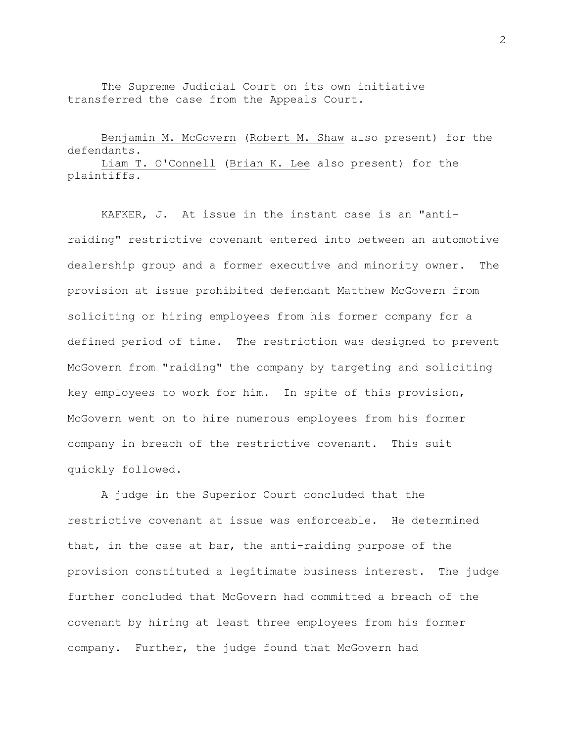The Supreme Judicial Court on its own initiative transferred the case from the Appeals Court.

## Benjamin M. McGovern (Robert M. Shaw also present) for the defendants. Liam T. O'Connell (Brian K. Lee also present) for the

plaintiffs.

KAFKER, J. At issue in the instant case is an "antiraiding" restrictive covenant entered into between an automotive dealership group and a former executive and minority owner. The provision at issue prohibited defendant Matthew McGovern from soliciting or hiring employees from his former company for a defined period of time. The restriction was designed to prevent McGovern from "raiding" the company by targeting and soliciting key employees to work for him. In spite of this provision, McGovern went on to hire numerous employees from his former company in breach of the restrictive covenant. This suit quickly followed.

A judge in the Superior Court concluded that the restrictive covenant at issue was enforceable. He determined that, in the case at bar, the anti-raiding purpose of the provision constituted a legitimate business interest. The judge further concluded that McGovern had committed a breach of the covenant by hiring at least three employees from his former company. Further, the judge found that McGovern had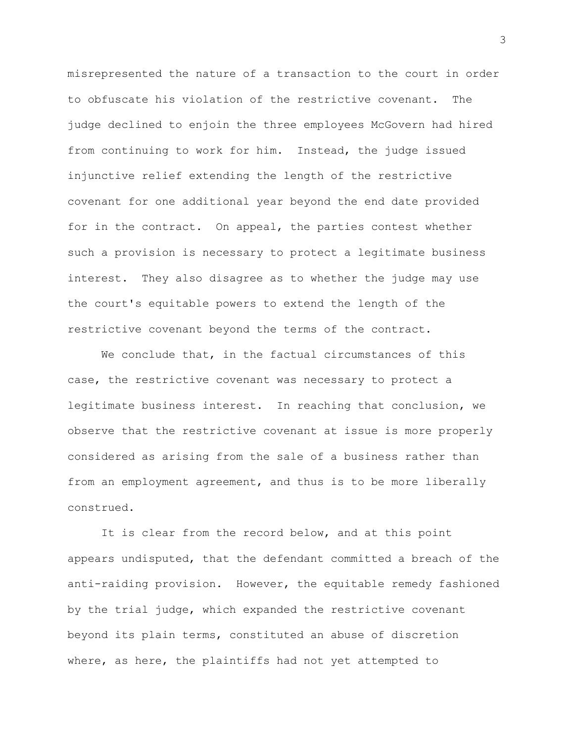misrepresented the nature of a transaction to the court in order to obfuscate his violation of the restrictive covenant. The judge declined to enjoin the three employees McGovern had hired from continuing to work for him. Instead, the judge issued injunctive relief extending the length of the restrictive covenant for one additional year beyond the end date provided for in the contract. On appeal, the parties contest whether such a provision is necessary to protect a legitimate business interest. They also disagree as to whether the judge may use the court's equitable powers to extend the length of the restrictive covenant beyond the terms of the contract.

We conclude that, in the factual circumstances of this case, the restrictive covenant was necessary to protect a legitimate business interest. In reaching that conclusion, we observe that the restrictive covenant at issue is more properly considered as arising from the sale of a business rather than from an employment agreement, and thus is to be more liberally construed.

It is clear from the record below, and at this point appears undisputed, that the defendant committed a breach of the anti-raiding provision. However, the equitable remedy fashioned by the trial judge, which expanded the restrictive covenant beyond its plain terms, constituted an abuse of discretion where, as here, the plaintiffs had not yet attempted to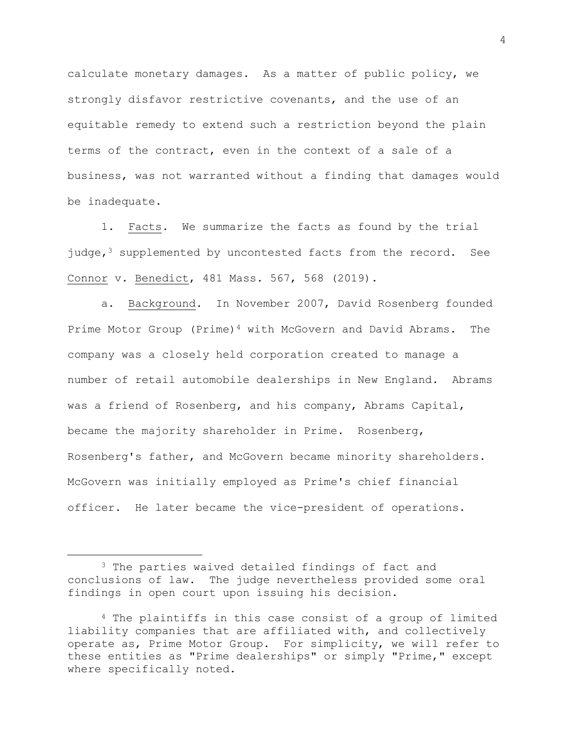calculate monetary damages. As a matter of public policy, we strongly disfavor restrictive covenants, and the use of an equitable remedy to extend such a restriction beyond the plain terms of the contract, even in the context of a sale of a business, was not warranted without a finding that damages would be inadequate.

1. Facts. We summarize the facts as found by the trial judge, $3$  supplemented by uncontested facts from the record. See Connor v. Benedict, 481 Mass. 567, 568 (2019).

a. Background. In November 2007, David Rosenberg founded Prime Motor Group (Prime)<sup>4</sup> with McGovern and David Abrams. The company was a closely held corporation created to manage a number of retail automobile dealerships in New England. Abrams was a friend of Rosenberg, and his company, Abrams Capital, became the majority shareholder in Prime. Rosenberg, Rosenberg's father, and McGovern became minority shareholders. McGovern was initially employed as Prime's chief financial officer. He later became the vice-president of operations.

÷.

<sup>&</sup>lt;sup>3</sup> The parties waived detailed findings of fact and conclusions of law. The judge nevertheless provided some oral findings in open court upon issuing his decision.

<sup>4</sup> The plaintiffs in this case consist of a group of limited liability companies that are affiliated with, and collectively operate as, Prime Motor Group. For simplicity, we will refer to these entities as "Prime dealerships" or simply "Prime," except where specifically noted.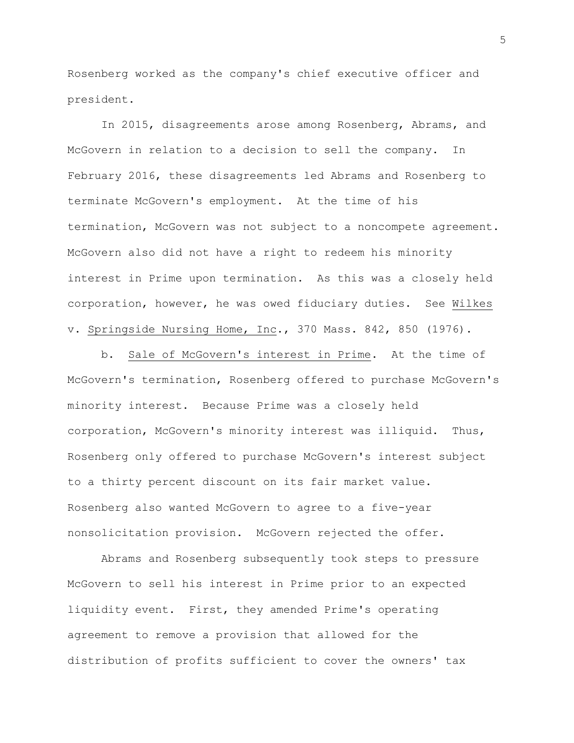Rosenberg worked as the company's chief executive officer and president.

In 2015, disagreements arose among Rosenberg, Abrams, and McGovern in relation to a decision to sell the company**.** In February 2016, these disagreements led Abrams and Rosenberg to terminate McGovern's employment**.** At the time of his termination, McGovern was not subject to a noncompete agreement. McGovern also did not have a right to redeem his minority interest in Prime upon termination. As this was a closely held corporation, however, he was owed fiduciary duties. See Wilkes v. Springside Nursing Home, Inc., 370 Mass. 842, 850 (1976).

b. Sale of McGovern's interest in Prime. At the time of McGovern's termination, Rosenberg offered to purchase McGovern's minority interest. Because Prime was a closely held corporation, McGovern's minority interest was illiquid. Thus, Rosenberg only offered to purchase McGovern's interest subject to a thirty percent discount on its fair market value. Rosenberg also wanted McGovern to agree to a five-year nonsolicitation provision. McGovern rejected the offer.

Abrams and Rosenberg subsequently took steps to pressure McGovern to sell his interest in Prime prior to an expected liquidity event. First, they amended Prime's operating agreement to remove a provision that allowed for the distribution of profits sufficient to cover the owners' tax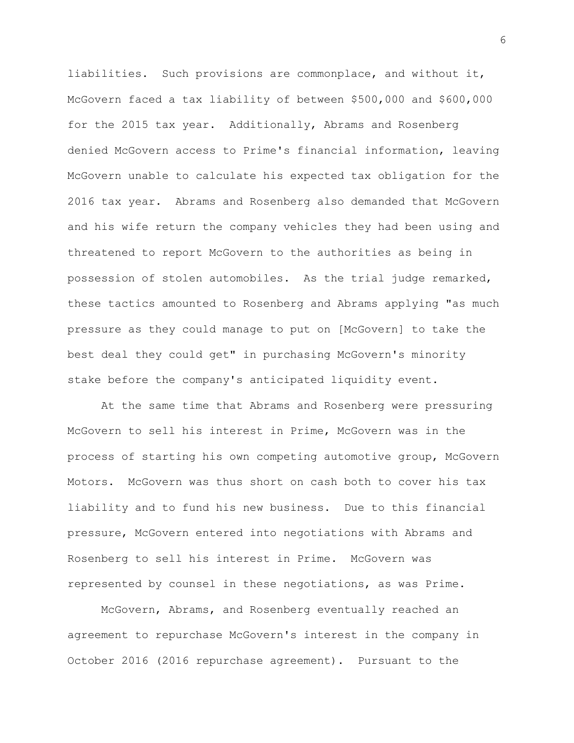liabilities. Such provisions are commonplace, and without it, McGovern faced a tax liability of between \$500,000 and \$600,000 for the 2015 tax year. Additionally, Abrams and Rosenberg denied McGovern access to Prime's financial information, leaving McGovern unable to calculate his expected tax obligation for the 2016 tax year. Abrams and Rosenberg also demanded that McGovern and his wife return the company vehicles they had been using and threatened to report McGovern to the authorities as being in possession of stolen automobiles. As the trial judge remarked, these tactics amounted to Rosenberg and Abrams applying "as much pressure as they could manage to put on [McGovern] to take the best deal they could get" in purchasing McGovern's minority stake before the company's anticipated liquidity event.

At the same time that Abrams and Rosenberg were pressuring McGovern to sell his interest in Prime, McGovern was in the process of starting his own competing automotive group, McGovern Motors. McGovern was thus short on cash both to cover his tax liability and to fund his new business. Due to this financial pressure, McGovern entered into negotiations with Abrams and Rosenberg to sell his interest in Prime. McGovern was represented by counsel in these negotiations, as was Prime.

McGovern, Abrams, and Rosenberg eventually reached an agreement to repurchase McGovern's interest in the company in October 2016 (2016 repurchase agreement). Pursuant to the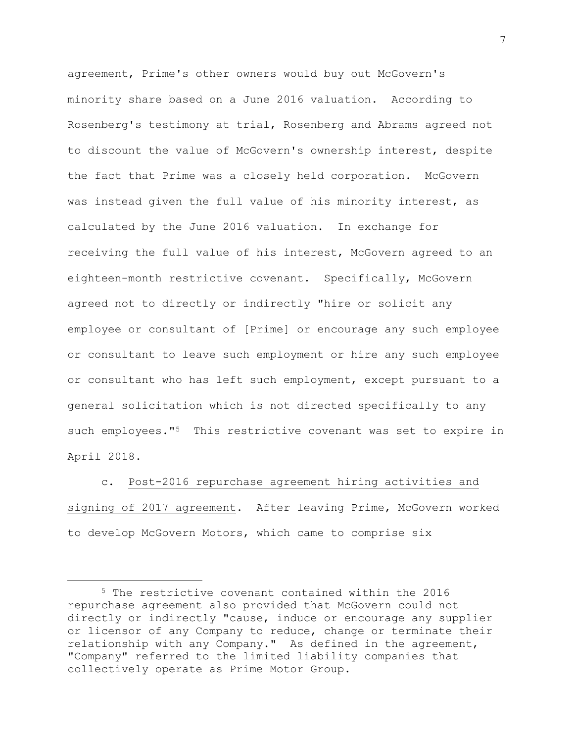agreement, Prime's other owners would buy out McGovern's minority share based on a June 2016 valuation. According to Rosenberg's testimony at trial, Rosenberg and Abrams agreed not to discount the value of McGovern's ownership interest, despite the fact that Prime was a closely held corporation. McGovern was instead given the full value of his minority interest, as calculated by the June 2016 valuation. In exchange for receiving the full value of his interest, McGovern agreed to an eighteen-month restrictive covenant. Specifically, McGovern agreed not to directly or indirectly "hire or solicit any employee or consultant of [Prime] or encourage any such employee or consultant to leave such employment or hire any such employee or consultant who has left such employment, except pursuant to a general solicitation which is not directed specifically to any such employees."<sup>5</sup> This restrictive covenant was set to expire in April 2018.

c. Post-2016 repurchase agreement hiring activities and signing of 2017 agreement. After leaving Prime, McGovern worked to develop McGovern Motors, which came to comprise six

<sup>5</sup> The restrictive covenant contained within the 2016 repurchase agreement also provided that McGovern could not directly or indirectly "cause, induce or encourage any supplier or licensor of any Company to reduce, change or terminate their relationship with any Company." As defined in the agreement, "Company" referred to the limited liability companies that collectively operate as Prime Motor Group.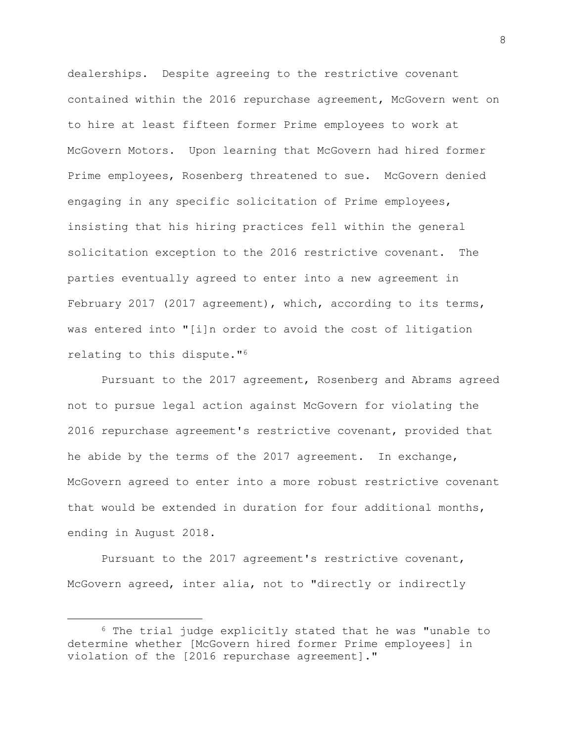dealerships. Despite agreeing to the restrictive covenant contained within the 2016 repurchase agreement, McGovern went on to hire at least fifteen former Prime employees to work at McGovern Motors. Upon learning that McGovern had hired former Prime employees, Rosenberg threatened to sue. McGovern denied engaging in any specific solicitation of Prime employees, insisting that his hiring practices fell within the general solicitation exception to the 2016 restrictive covenant. The parties eventually agreed to enter into a new agreement in February 2017 (2017 agreement), which, according to its terms, was entered into "[i]n order to avoid the cost of litigation relating to this dispute."<sup>6</sup>

Pursuant to the 2017 agreement, Rosenberg and Abrams agreed not to pursue legal action against McGovern for violating the 2016 repurchase agreement's restrictive covenant, provided that he abide by the terms of the 2017 agreement. In exchange, McGovern agreed to enter into a more robust restrictive covenant that would be extended in duration for four additional months, ending in August 2018.

Pursuant to the 2017 agreement's restrictive covenant, McGovern agreed, inter alia, not to "directly or indirectly

i<br>L

<sup>6</sup> The trial judge explicitly stated that he was "unable to determine whether [McGovern hired former Prime employees] in violation of the [2016 repurchase agreement]."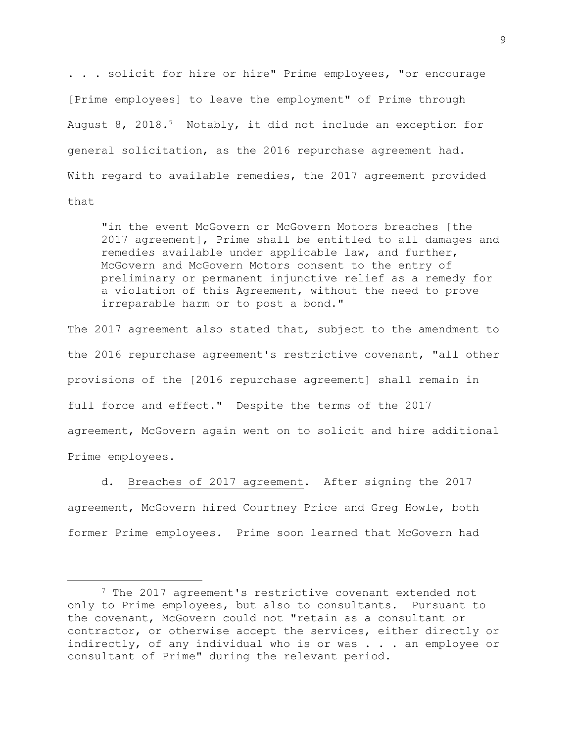. . . solicit for hire or hire" Prime employees, "or encourage [Prime employees] to leave the employment" of Prime through August 8, 2018.7 Notably, it did not include an exception for general solicitation, as the 2016 repurchase agreement had. With regard to available remedies, the 2017 agreement provided that

"in the event McGovern or McGovern Motors breaches [the 2017 agreement], Prime shall be entitled to all damages and remedies available under applicable law, and further, McGovern and McGovern Motors consent to the entry of preliminary or permanent injunctive relief as a remedy for a violation of this Agreement, without the need to prove irreparable harm or to post a bond."

The 2017 agreement also stated that, subject to the amendment to the 2016 repurchase agreement's restrictive covenant, "all other provisions of the [2016 repurchase agreement] shall remain in full force and effect." Despite the terms of the 2017 agreement, McGovern again went on to solicit and hire additional Prime employees.

d. Breaches of 2017 agreement. After signing the 2017 agreement, McGovern hired Courtney Price and Greg Howle, both former Prime employees. Prime soon learned that McGovern had

<sup>&</sup>lt;sup>7</sup> The 2017 agreement's restrictive covenant extended not only to Prime employees, but also to consultants. Pursuant to the covenant, McGovern could not "retain as a consultant or contractor, or otherwise accept the services, either directly or indirectly, of any individual who is or was . . . an employee or consultant of Prime" during the relevant period.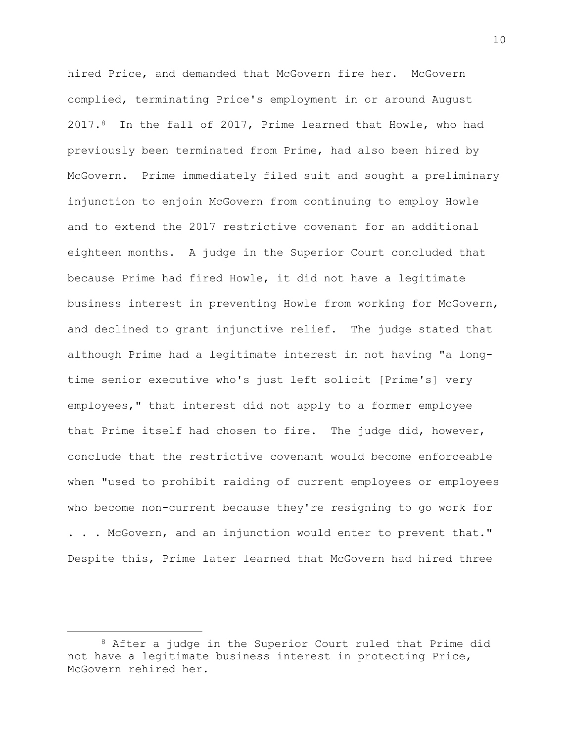hired Price, and demanded that McGovern fire her. McGovern complied, terminating Price's employment in or around August 2017.8 In the fall of 2017, Prime learned that Howle, who had previously been terminated from Prime, had also been hired by McGovern. Prime immediately filed suit and sought a preliminary injunction to enjoin McGovern from continuing to employ Howle and to extend the 2017 restrictive covenant for an additional eighteen months. A judge in the Superior Court concluded that because Prime had fired Howle, it did not have a legitimate business interest in preventing Howle from working for McGovern, and declined to grant injunctive relief. The judge stated that although Prime had a legitimate interest in not having "a longtime senior executive who's just left solicit [Prime's] very employees," that interest did not apply to a former employee that Prime itself had chosen to fire. The judge did, however, conclude that the restrictive covenant would become enforceable when "used to prohibit raiding of current employees or employees who become non-current because they're resigning to go work for . . . McGovern, and an injunction would enter to prevent that." Despite this, Prime later learned that McGovern had hired three

<sup>8</sup> After a judge in the Superior Court ruled that Prime did not have a legitimate business interest in protecting Price, McGovern rehired her.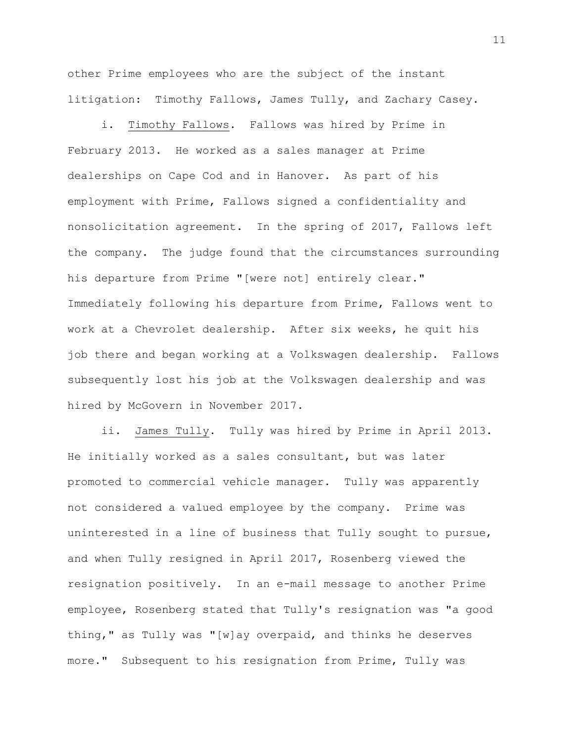other Prime employees who are the subject of the instant litigation: Timothy Fallows, James Tully, and Zachary Casey.

i. Timothy Fallows. Fallows was hired by Prime in February 2013. He worked as a sales manager at Prime dealerships on Cape Cod and in Hanover. As part of his employment with Prime, Fallows signed a confidentiality and nonsolicitation agreement. In the spring of 2017, Fallows left the company. The judge found that the circumstances surrounding his departure from Prime "[were not] entirely clear." Immediately following his departure from Prime, Fallows went to work at a Chevrolet dealership. After six weeks, he quit his job there and began working at a Volkswagen dealership. Fallows subsequently lost his job at the Volkswagen dealership and was hired by McGovern in November 2017.

ii. James Tully. Tully was hired by Prime in April 2013. He initially worked as a sales consultant, but was later promoted to commercial vehicle manager. Tully was apparently not considered a valued employee by the company. Prime was uninterested in a line of business that Tully sought to pursue, and when Tully resigned in April 2017, Rosenberg viewed the resignation positively. In an e-mail message to another Prime employee, Rosenberg stated that Tully's resignation was "a good thing," as Tully was "[w]ay overpaid, and thinks he deserves more." Subsequent to his resignation from Prime, Tully was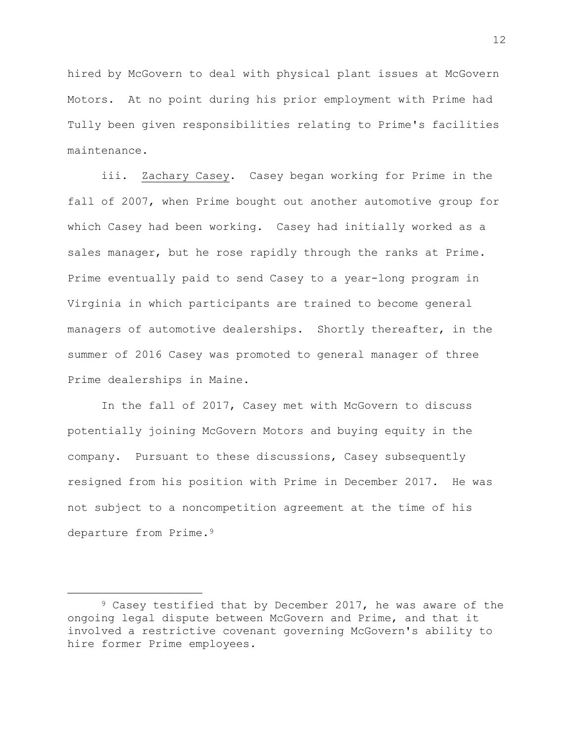hired by McGovern to deal with physical plant issues at McGovern Motors. At no point during his prior employment with Prime had Tully been given responsibilities relating to Prime's facilities maintenance.

iii. Zachary Casey. Casey began working for Prime in the fall of 2007, when Prime bought out another automotive group for which Casey had been working. Casey had initially worked as a sales manager, but he rose rapidly through the ranks at Prime. Prime eventually paid to send Casey to a year-long program in Virginia in which participants are trained to become general managers of automotive dealerships. Shortly thereafter, in the summer of 2016 Casey was promoted to general manager of three Prime dealerships in Maine.

In the fall of 2017, Casey met with McGovern to discuss potentially joining McGovern Motors and buying equity in the company. Pursuant to these discussions, Casey subsequently resigned from his position with Prime in December 2017. He was not subject to a noncompetition agreement at the time of his departure from Prime.<sup>9</sup>

L,

<sup>&</sup>lt;sup>9</sup> Casey testified that by December 2017, he was aware of the ongoing legal dispute between McGovern and Prime, and that it involved a restrictive covenant governing McGovern's ability to hire former Prime employees.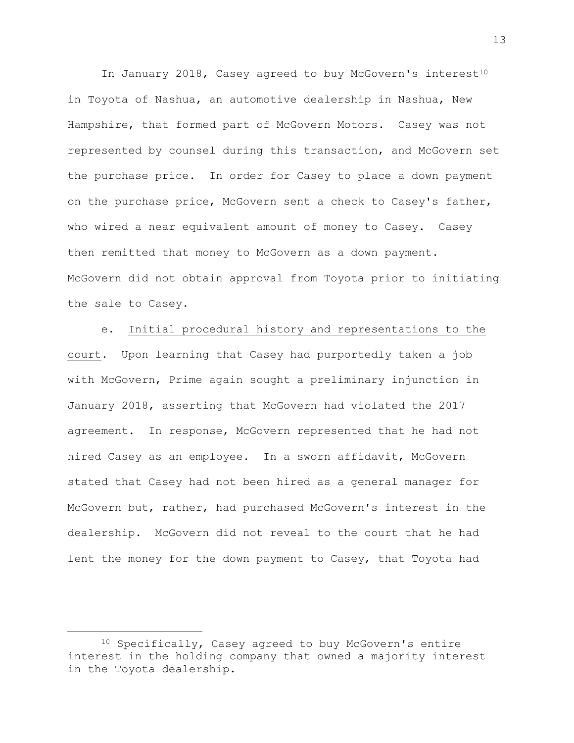In January 2018, Casey agreed to buy McGovern's interest<sup>10</sup> in Toyota of Nashua, an automotive dealership in Nashua, New Hampshire, that formed part of McGovern Motors. Casey was not represented by counsel during this transaction, and McGovern set the purchase price. In order for Casey to place a down payment on the purchase price, McGovern sent a check to Casey's father, who wired a near equivalent amount of money to Casey. Casey then remitted that money to McGovern as a down payment. McGovern did not obtain approval from Toyota prior to initiating the sale to Casey.

e. Initial procedural history and representations to the court. Upon learning that Casey had purportedly taken a job with McGovern, Prime again sought a preliminary injunction in January 2018, asserting that McGovern had violated the 2017 agreement. In response, McGovern represented that he had not hired Casey as an employee. In a sworn affidavit, McGovern stated that Casey had not been hired as a general manager for McGovern but, rather, had purchased McGovern's interest in the dealership. McGovern did not reveal to the court that he had lent the money for the down payment to Casey, that Toyota had

<sup>10</sup> Specifically, Casey agreed to buy McGovern's entire interest in the holding company that owned a majority interest in the Toyota dealership.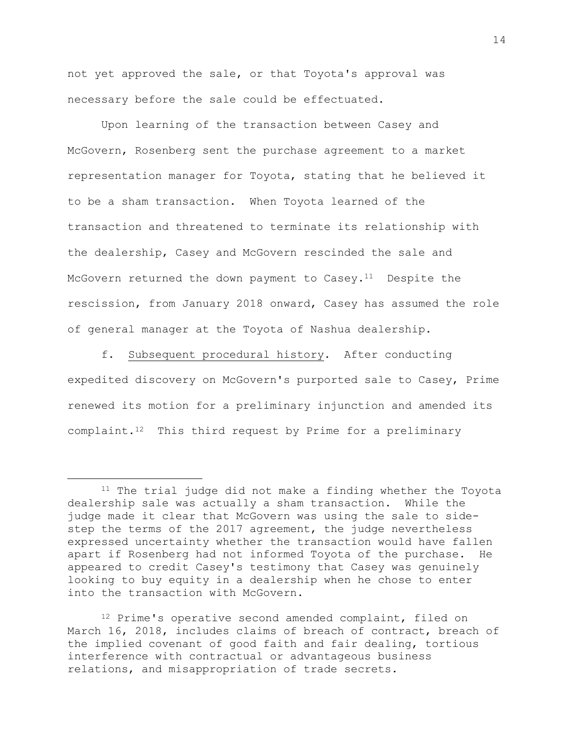not yet approved the sale, or that Toyota's approval was necessary before the sale could be effectuated.

Upon learning of the transaction between Casey and McGovern, Rosenberg sent the purchase agreement to a market representation manager for Toyota, stating that he believed it to be a sham transaction. When Toyota learned of the transaction and threatened to terminate its relationship with the dealership, Casey and McGovern rescinded the sale and McGovern returned the down payment to Casey.<sup>11</sup> Despite the rescission, from January 2018 onward, Casey has assumed the role of general manager at the Toyota of Nashua dealership.

f. Subsequent procedural history. After conducting expedited discovery on McGovern's purported sale to Casey, Prime renewed its motion for a preliminary injunction and amended its complaint. $12$  This third request by Prime for a preliminary

i<br>L

<sup>12</sup> Prime's operative second amended complaint, filed on March 16, 2018, includes claims of breach of contract, breach of the implied covenant of good faith and fair dealing, tortious interference with contractual or advantageous business relations, and misappropriation of trade secrets.

<sup>&</sup>lt;sup>11</sup> The trial judge did not make a finding whether the Toyota dealership sale was actually a sham transaction. While the judge made it clear that McGovern was using the sale to sidestep the terms of the 2017 agreement, the judge nevertheless expressed uncertainty whether the transaction would have fallen apart if Rosenberg had not informed Toyota of the purchase. He appeared to credit Casey's testimony that Casey was genuinely looking to buy equity in a dealership when he chose to enter into the transaction with McGovern.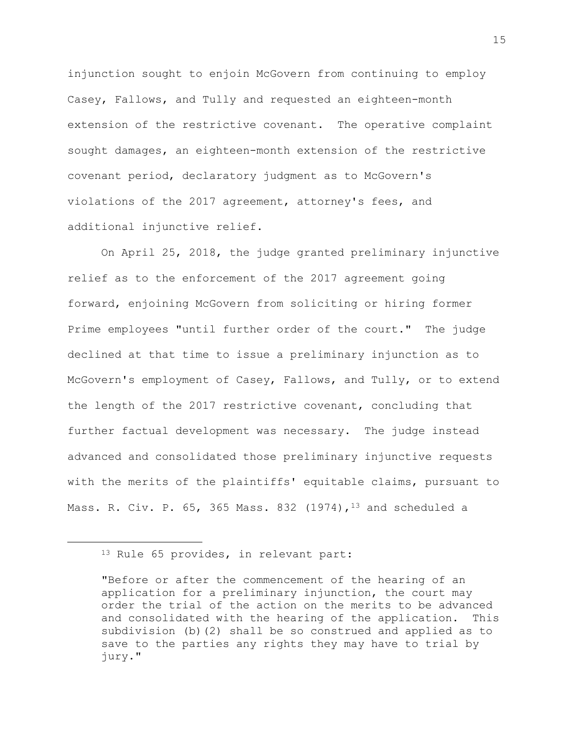injunction sought to enjoin McGovern from continuing to employ Casey, Fallows, and Tully and requested an eighteen-month extension of the restrictive covenant. The operative complaint sought damages, an eighteen-month extension of the restrictive covenant period, declaratory judgment as to McGovern's violations of the 2017 agreement, attorney's fees, and additional injunctive relief.

On April 25, 2018, the judge granted preliminary injunctive relief as to the enforcement of the 2017 agreement going forward, enjoining McGovern from soliciting or hiring former Prime employees "until further order of the court." The judge declined at that time to issue a preliminary injunction as to McGovern's employment of Casey, Fallows, and Tully, or to extend the length of the 2017 restrictive covenant, concluding that further factual development was necessary. The judge instead advanced and consolidated those preliminary injunctive requests with the merits of the plaintiffs' equitable claims, pursuant to Mass. R. Civ. P.  $65$ , 365 Mass. 832 (1974), <sup>13</sup> and scheduled a

i<br>L

<sup>13</sup> Rule 65 provides, in relevant part:

<sup>&</sup>quot;Before or after the commencement of the hearing of an application for a preliminary injunction, the court may order the trial of the action on the merits to be advanced and consolidated with the hearing of the application. This subdivision (b)(2) shall be so construed and applied as to save to the parties any rights they may have to trial by jury."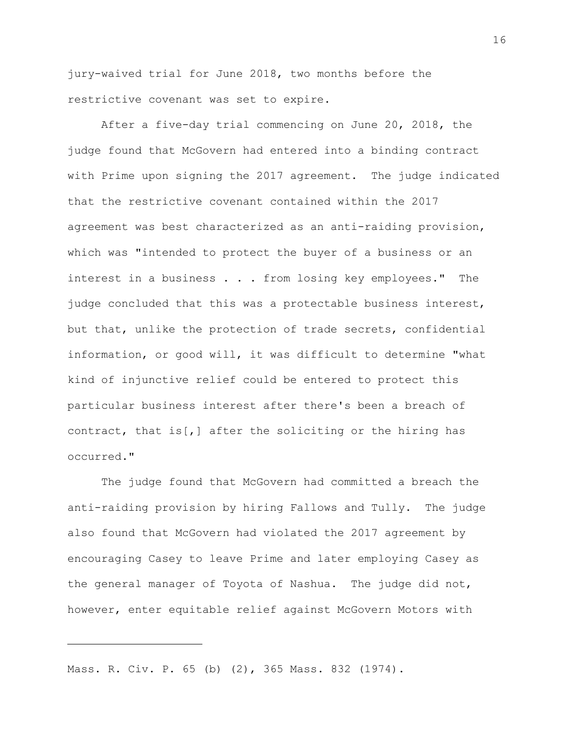jury-waived trial for June 2018, two months before the restrictive covenant was set to expire.

After a five-day trial commencing on June 20, 2018, the judge found that McGovern had entered into a binding contract with Prime upon signing the 2017 agreement. The judge indicated that the restrictive covenant contained within the 2017 agreement was best characterized as an anti-raiding provision, which was "intended to protect the buyer of a business or an interest in a business . . . from losing key employees." The judge concluded that this was a protectable business interest, but that, unlike the protection of trade secrets, confidential information, or good will, it was difficult to determine "what kind of injunctive relief could be entered to protect this particular business interest after there's been a breach of contract, that is[,] after the soliciting or the hiring has occurred."

The judge found that McGovern had committed a breach the anti-raiding provision by hiring Fallows and Tully. The judge also found that McGovern had violated the 2017 agreement by encouraging Casey to leave Prime and later employing Casey as the general manager of Toyota of Nashua. The judge did not, however, enter equitable relief against McGovern Motors with

Mass. R. Civ. P. 65 (b) (2), 365 Mass. 832 (1974).

i<br>L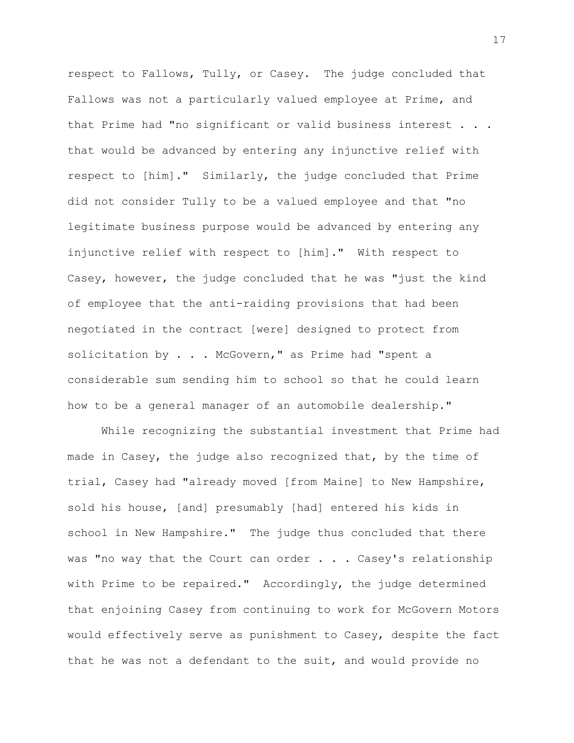respect to Fallows, Tully, or Casey. The judge concluded that Fallows was not a particularly valued employee at Prime, and that Prime had "no significant or valid business interest . . . that would be advanced by entering any injunctive relief with respect to [him]." Similarly, the judge concluded that Prime did not consider Tully to be a valued employee and that "no legitimate business purpose would be advanced by entering any injunctive relief with respect to [him]." With respect to Casey, however, the judge concluded that he was "just the kind of employee that the anti-raiding provisions that had been negotiated in the contract [were] designed to protect from solicitation by . . . McGovern," as Prime had "spent a considerable sum sending him to school so that he could learn how to be a general manager of an automobile dealership."

While recognizing the substantial investment that Prime had made in Casey, the judge also recognized that, by the time of trial, Casey had "already moved [from Maine] to New Hampshire, sold his house, [and] presumably [had] entered his kids in school in New Hampshire." The judge thus concluded that there was "no way that the Court can order . . . Casey's relationship with Prime to be repaired." Accordingly, the judge determined that enjoining Casey from continuing to work for McGovern Motors would effectively serve as punishment to Casey, despite the fact that he was not a defendant to the suit, and would provide no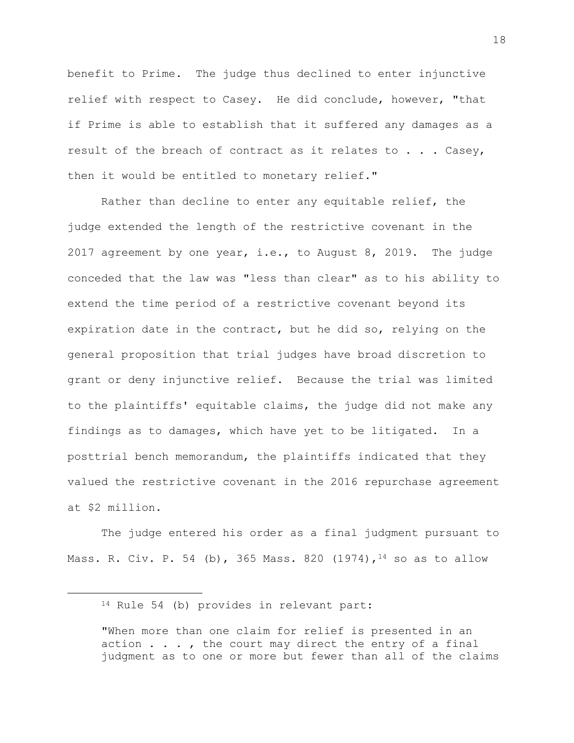benefit to Prime. The judge thus declined to enter injunctive relief with respect to Casey. He did conclude, however, "that if Prime is able to establish that it suffered any damages as a result of the breach of contract as it relates to . . . Casey, then it would be entitled to monetary relief."

Rather than decline to enter any equitable relief, the judge extended the length of the restrictive covenant in the 2017 agreement by one year, i.e., to August 8, 2019. The judge conceded that the law was "less than clear" as to his ability to extend the time period of a restrictive covenant beyond its expiration date in the contract, but he did so, relying on the general proposition that trial judges have broad discretion to grant or deny injunctive relief. Because the trial was limited to the plaintiffs' equitable claims, the judge did not make any findings as to damages, which have yet to be litigated. In a posttrial bench memorandum, the plaintiffs indicated that they valued the restrictive covenant in the 2016 repurchase agreement at \$2 million.

The judge entered his order as a final judgment pursuant to Mass. R. Civ. P. 54 (b), 365 Mass. 820 (1974), <sup>14</sup> so as to allow

L,

<sup>14</sup> Rule 54 (b) provides in relevant part:

<sup>&</sup>quot;When more than one claim for relief is presented in an action . . . , the court may direct the entry of a final judgment as to one or more but fewer than all of the claims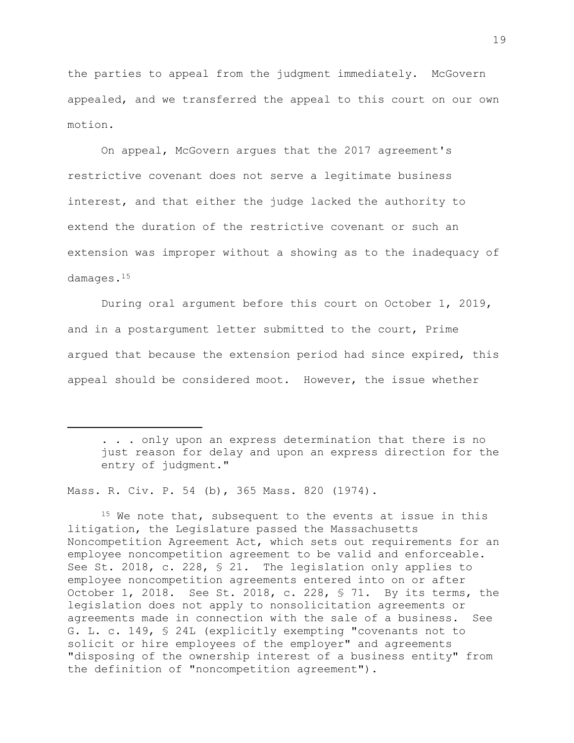the parties to appeal from the judgment immediately. McGovern appealed, and we transferred the appeal to this court on our own motion.

On appeal, McGovern argues that the 2017 agreement's restrictive covenant does not serve a legitimate business interest, and that either the judge lacked the authority to extend the duration of the restrictive covenant or such an extension was improper without a showing as to the inadequacy of damages.<sup>15</sup>

During oral argument before this court on October 1, 2019, and in a postargument letter submitted to the court, Prime argued that because the extension period had since expired, this appeal should be considered moot. However, the issue whether

. . . only upon an express determination that there is no just reason for delay and upon an express direction for the entry of judgment."

Mass. R. Civ. P. 54 (b), 365 Mass. 820 (1974).

i<br>L

<sup>15</sup> We note that, subsequent to the events at issue in this litigation, the Legislature passed the Massachusetts Noncompetition Agreement Act, which sets out requirements for an employee noncompetition agreement to be valid and enforceable. See St. 2018, c. 228, § 21. The legislation only applies to employee noncompetition agreements entered into on or after October 1, 2018. See St. 2018, c. 228, § 71. By its terms, the legislation does not apply to nonsolicitation agreements or agreements made in connection with the sale of a business. See G. L. c. 149, § 24L (explicitly exempting "covenants not to solicit or hire employees of the employer" and agreements "disposing of the ownership interest of a business entity" from the definition of "noncompetition agreement").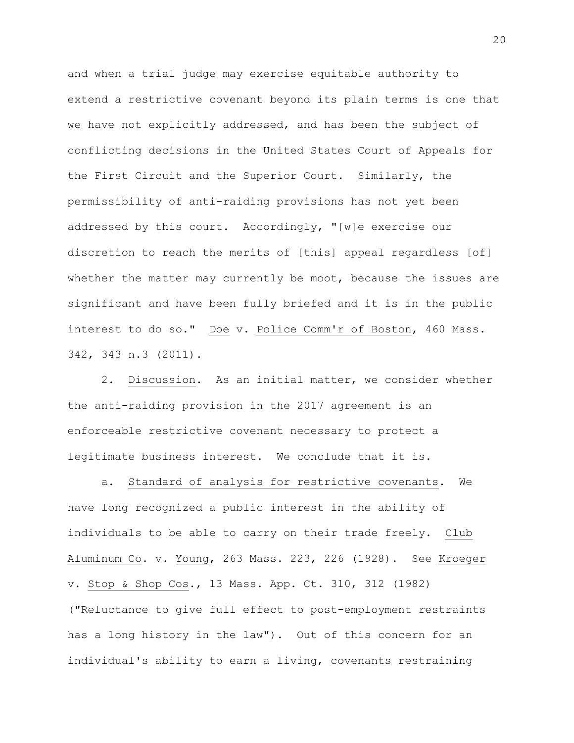and when a trial judge may exercise equitable authority to extend a restrictive covenant beyond its plain terms is one that we have not explicitly addressed, and has been the subject of conflicting decisions in the United States Court of Appeals for the First Circuit and the Superior Court. Similarly, the permissibility of anti-raiding provisions has not yet been addressed by this court. Accordingly, "[w]e exercise our discretion to reach the merits of [this] appeal regardless [of] whether the matter may currently be moot, because the issues are significant and have been fully briefed and it is in the public interest to do so." Doe v. Police Comm'r of Boston, 460 Mass. 342, 343 n.3 (2011).

2. Discussion. As an initial matter, we consider whether the anti-raiding provision in the 2017 agreement is an enforceable restrictive covenant necessary to protect a legitimate business interest. We conclude that it is.

a. Standard of analysis for restrictive covenants. We have long recognized a public interest in the ability of individuals to be able to carry on their trade freely. Club Aluminum Co. v. Young, 263 Mass. 223, 226 (1928). See Kroeger v. Stop & Shop Cos., 13 Mass. App. Ct. 310, 312 (1982) ("Reluctance to give full effect to post-employment restraints has a long history in the law"). Out of this concern for an individual's ability to earn a living, covenants restraining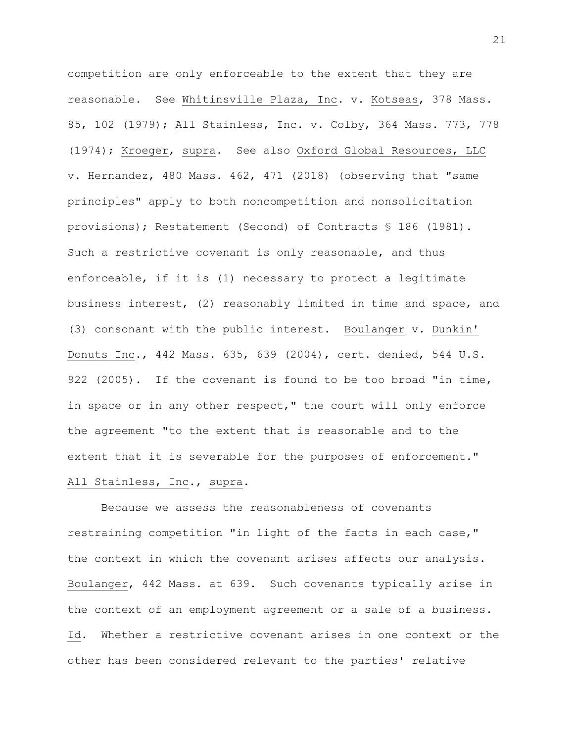competition are only enforceable to the extent that they are reasonable. See Whitinsville Plaza, Inc. v. Kotseas, 378 Mass. 85, 102 (1979); All Stainless, Inc. v. Colby, 364 Mass. 773, 778 (1974); Kroeger, supra. See also Oxford Global Resources, LLC v. Hernandez, 480 Mass. 462, 471 (2018) (observing that "same principles" apply to both noncompetition and nonsolicitation provisions); Restatement (Second) of Contracts § 186 (1981). Such a restrictive covenant is only reasonable, and thus enforceable, if it is (1) necessary to protect a legitimate business interest, (2) reasonably limited in time and space, and (3) consonant with the public interest. Boulanger v. Dunkin' Donuts Inc., 442 Mass. 635, 639 (2004), cert. denied, 544 U.S. 922 (2005). If the covenant is found to be too broad "in time, in space or in any other respect," the court will only enforce the agreement "to the extent that is reasonable and to the extent that it is severable for the purposes of enforcement." All Stainless, Inc., supra.

Because we assess the reasonableness of covenants restraining competition "in light of the facts in each case," the context in which the covenant arises affects our analysis. Boulanger, 442 Mass. at 639. Such covenants typically arise in the context of an employment agreement or a sale of a business. Id. Whether a restrictive covenant arises in one context or the other has been considered relevant to the parties' relative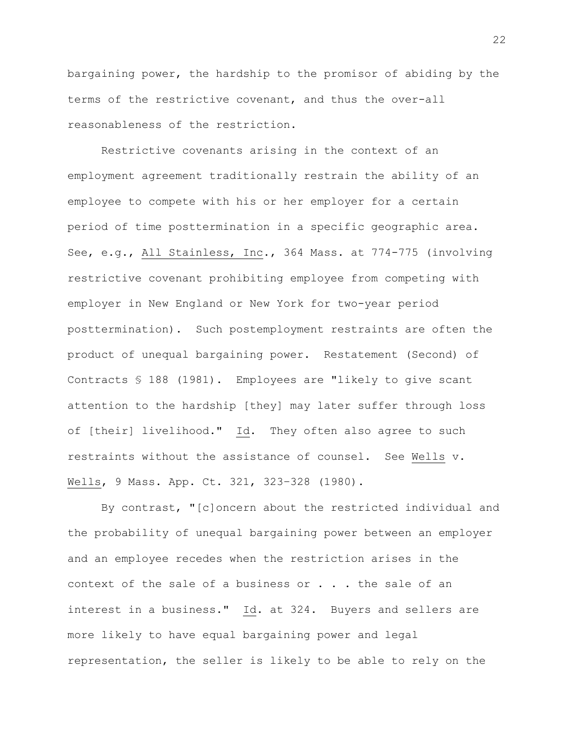bargaining power, the hardship to the promisor of abiding by the terms of the restrictive covenant, and thus the over-all reasonableness of the restriction.

Restrictive covenants arising in the context of an employment agreement traditionally restrain the ability of an employee to compete with his or her employer for a certain period of time posttermination in a specific geographic area. See, e.g., All Stainless, Inc., 364 Mass. at 774-775 (involving restrictive covenant prohibiting employee from competing with employer in New England or New York for two-year period posttermination). Such postemployment restraints are often the product of unequal bargaining power. Restatement (Second) of Contracts § 188 (1981). Employees are "likely to give scant attention to the hardship [they] may later suffer through loss of [their] livelihood." Id. They often also agree to such restraints without the assistance of counsel. See Wells v. Wells, 9 Mass. App. Ct. 321, 323–328 (1980).

By contrast, "[c]oncern about the restricted individual and the probability of unequal bargaining power between an employer and an employee recedes when the restriction arises in the context of the sale of a business or . . . the sale of an interest in a business." Id. at 324. Buyers and sellers are more likely to have equal bargaining power and legal representation, the seller is likely to be able to rely on the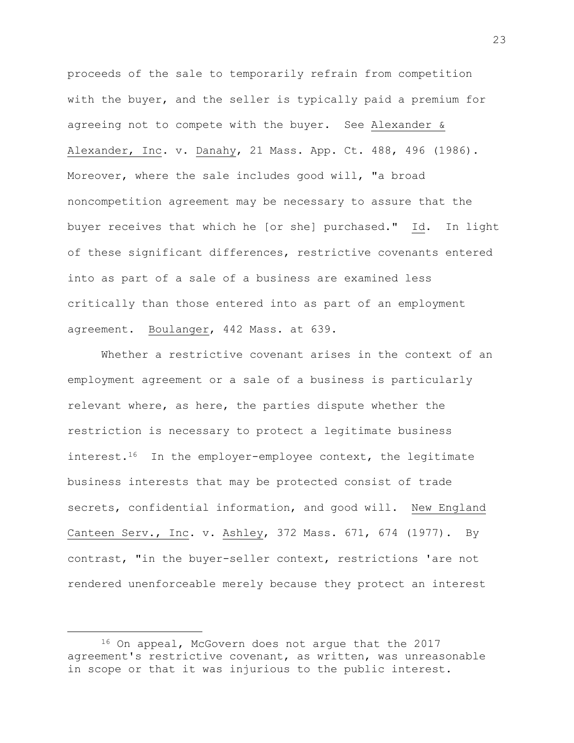proceeds of the sale to temporarily refrain from competition with the buyer, and the seller is typically paid a premium for agreeing not to compete with the buyer. See Alexander & Alexander, Inc. v. Danahy, 21 Mass. App. Ct. 488, 496 (1986). Moreover, where the sale includes good will, "a broad noncompetition agreement may be necessary to assure that the buyer receives that which he [or she] purchased." Id. In light of these significant differences, restrictive covenants entered into as part of a sale of a business are examined less critically than those entered into as part of an employment agreement. Boulanger, 442 Mass. at 639.

Whether a restrictive covenant arises in the context of an employment agreement or a sale of a business is particularly relevant where, as here, the parties dispute whether the restriction is necessary to protect a legitimate business interest.<sup>16</sup> In the employer-employee context, the legitimate business interests that may be protected consist of trade secrets, confidential information, and good will. New England Canteen Serv., Inc. v. Ashley, 372 Mass. 671, 674 (1977). By contrast, "in the buyer-seller context, restrictions 'are not rendered unenforceable merely because they protect an interest

<sup>16</sup> On appeal, McGovern does not arque that the 2017 agreement's restrictive covenant, as written, was unreasonable in scope or that it was injurious to the public interest.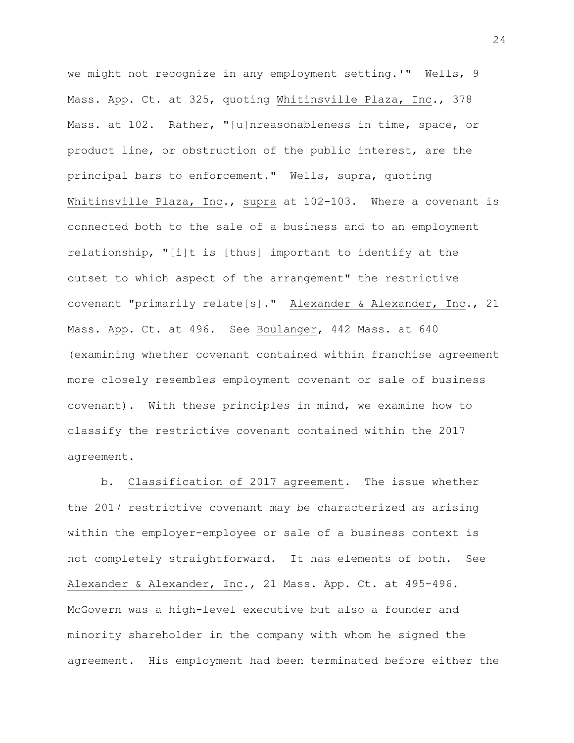we might not recognize in any employment setting.'" Wells, 9 Mass. App. Ct. at 325, quoting Whitinsville Plaza, Inc., 378 Mass. at 102. Rather, "[u]nreasonableness in time, space, or product line, or obstruction of the public interest, are the principal bars to enforcement." Wells, supra, quoting Whitinsville Plaza, Inc., supra at 102-103. Where a covenant is connected both to the sale of a business and to an employment relationship, "[i]t is [thus] important to identify at the outset to which aspect of the arrangement" the restrictive covenant "primarily relate[s]." Alexander & Alexander, Inc., 21 Mass. App. Ct. at 496. See Boulanger, 442 Mass. at 640 (examining whether covenant contained within franchise agreement more closely resembles employment covenant or sale of business covenant). With these principles in mind, we examine how to classify the restrictive covenant contained within the 2017 agreement.

b. Classification of 2017 agreement. The issue whether the 2017 restrictive covenant may be characterized as arising within the employer-employee or sale of a business context is not completely straightforward. It has elements of both. See Alexander & Alexander, Inc., 21 Mass. App. Ct. at 495-496. McGovern was a high-level executive but also a founder and minority shareholder in the company with whom he signed the agreement. His employment had been terminated before either the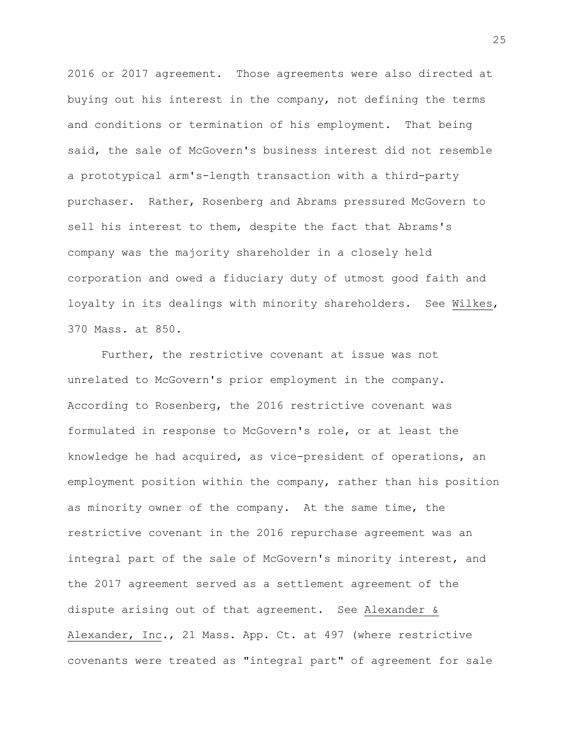2016 or 2017 agreement. Those agreements were also directed at buying out his interest in the company, not defining the terms and conditions or termination of his employment. That being said, the sale of McGovern's business interest did not resemble a prototypical arm's-length transaction with a third-party purchaser. Rather, Rosenberg and Abrams pressured McGovern to sell his interest to them, despite the fact that Abrams's company was the majority shareholder in a closely held corporation and owed a fiduciary duty of utmost good faith and loyalty in its dealings with minority shareholders. See Wilkes, 370 Mass. at 850.

Further, the restrictive covenant at issue was not unrelated to McGovern's prior employment in the company. According to Rosenberg, the 2016 restrictive covenant was formulated in response to McGovern's role, or at least the knowledge he had acquired, as vice-president of operations, an employment position within the company, rather than his position as minority owner of the company. At the same time, the restrictive covenant in the 2016 repurchase agreement was an integral part of the sale of McGovern's minority interest, and the 2017 agreement served as a settlement agreement of the dispute arising out of that agreement. See Alexander & Alexander, Inc., 21 Mass. App. Ct. at 497 (where restrictive covenants were treated as "integral part" of agreement for sale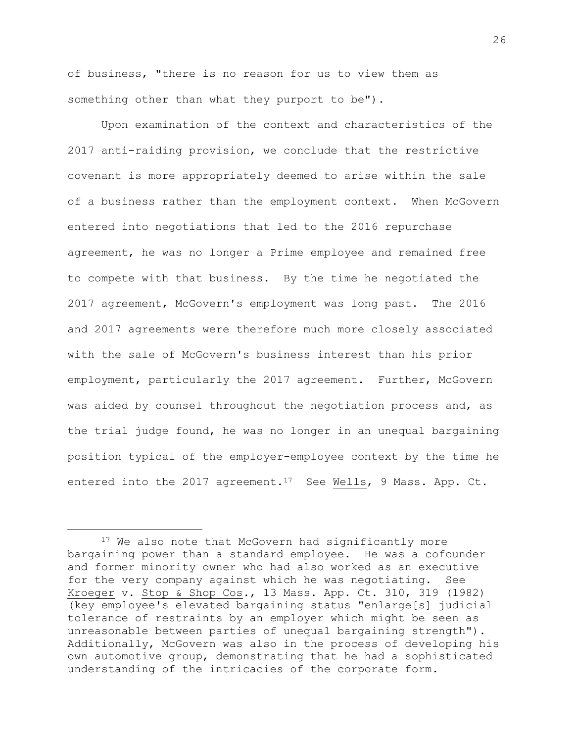of business, "there is no reason for us to view them as something other than what they purport to be").

Upon examination of the context and characteristics of the 2017 anti-raiding provision, we conclude that the restrictive covenant is more appropriately deemed to arise within the sale of a business rather than the employment context. When McGovern entered into negotiations that led to the 2016 repurchase agreement, he was no longer a Prime employee and remained free to compete with that business. By the time he negotiated the 2017 agreement, McGovern's employment was long past. The 2016 and 2017 agreements were therefore much more closely associated with the sale of McGovern's business interest than his prior employment, particularly the 2017 agreement. Further, McGovern was aided by counsel throughout the negotiation process and, as the trial judge found, he was no longer in an unequal bargaining position typical of the employer-employee context by the time he entered into the 2017 agreement.<sup>17</sup> See Wells, 9 Mass. App. Ct.

i<br>L

<sup>&</sup>lt;sup>17</sup> We also note that McGovern had significantly more bargaining power than a standard employee. He was a cofounder and former minority owner who had also worked as an executive for the very company against which he was negotiating. See Kroeger v. Stop & Shop Cos., 13 Mass. App. Ct. 310, 319 (1982) (key employee's elevated bargaining status "enlarge[s] judicial tolerance of restraints by an employer which might be seen as unreasonable between parties of unequal bargaining strength"). Additionally, McGovern was also in the process of developing his own automotive group, demonstrating that he had a sophisticated understanding of the intricacies of the corporate form.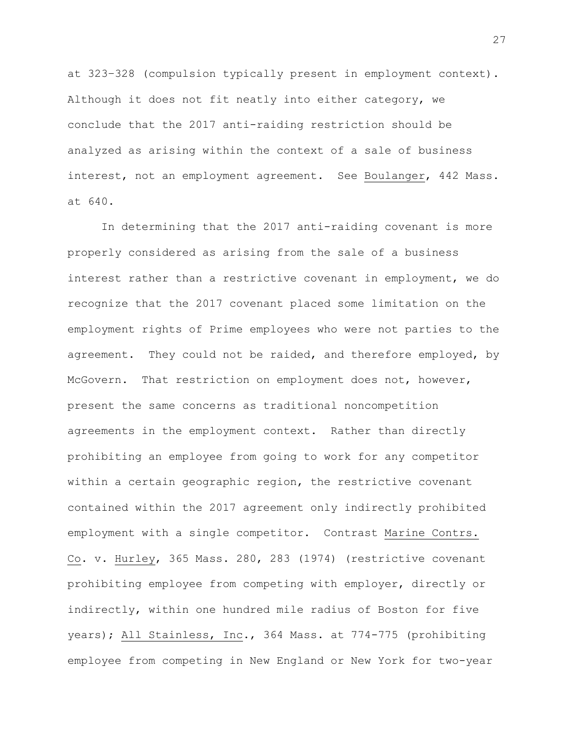at 323–328 (compulsion typically present in employment context). Although it does not fit neatly into either category, we conclude that the 2017 anti-raiding restriction should be analyzed as arising within the context of a sale of business interest, not an employment agreement. See Boulanger, 442 Mass. at 640.

In determining that the 2017 anti-raiding covenant is more properly considered as arising from the sale of a business interest rather than a restrictive covenant in employment, we do recognize that the 2017 covenant placed some limitation on the employment rights of Prime employees who were not parties to the agreement. They could not be raided, and therefore employed, by McGovern. That restriction on employment does not, however, present the same concerns as traditional noncompetition agreements in the employment context. Rather than directly prohibiting an employee from going to work for any competitor within a certain geographic region, the restrictive covenant contained within the 2017 agreement only indirectly prohibited employment with a single competitor. Contrast Marine Contrs. Co. v. Hurley, 365 Mass. 280, 283 (1974) (restrictive covenant prohibiting employee from competing with employer, directly or indirectly, within one hundred mile radius of Boston for five years); All Stainless, Inc., 364 Mass. at 774-775 (prohibiting employee from competing in New England or New York for two-year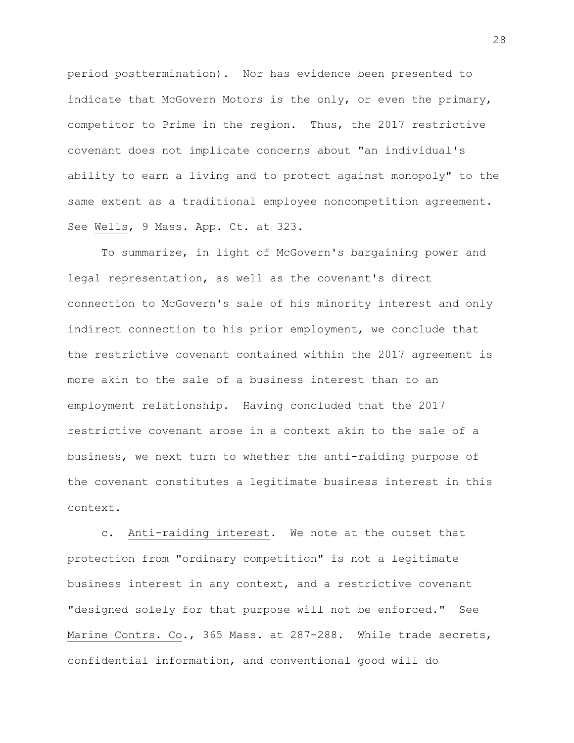period posttermination). Nor has evidence been presented to indicate that McGovern Motors is the only, or even the primary, competitor to Prime in the region. Thus, the 2017 restrictive covenant does not implicate concerns about "an individual's ability to earn a living and to protect against monopoly" to the same extent as a traditional employee noncompetition agreement. See Wells, 9 Mass. App. Ct. at 323.

To summarize, in light of McGovern's bargaining power and legal representation, as well as the covenant's direct connection to McGovern's sale of his minority interest and only indirect connection to his prior employment, we conclude that the restrictive covenant contained within the 2017 agreement is more akin to the sale of a business interest than to an employment relationship. Having concluded that the 2017 restrictive covenant arose in a context akin to the sale of a business, we next turn to whether the anti-raiding purpose of the covenant constitutes a legitimate business interest in this context.

c. Anti-raiding interest. We note at the outset that protection from "ordinary competition" is not a legitimate business interest in any context, and a restrictive covenant "designed solely for that purpose will not be enforced." See Marine Contrs. Co., 365 Mass. at 287-288. While trade secrets, confidential information, and conventional good will do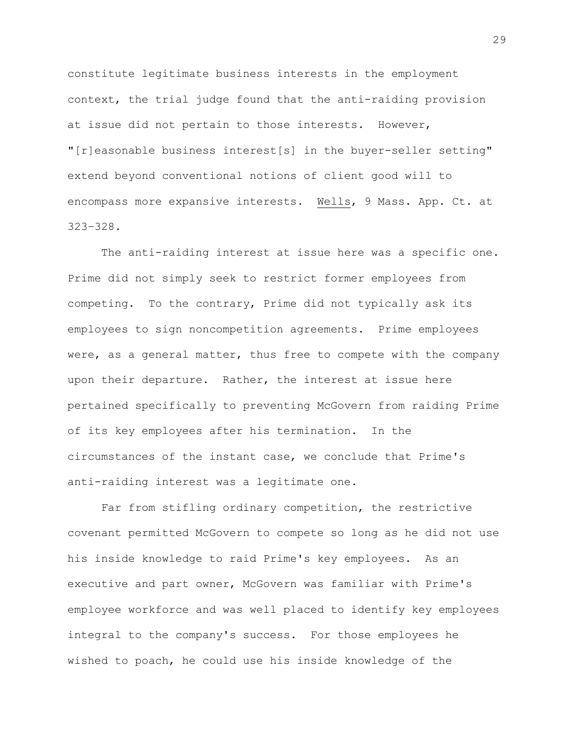constitute legitimate business interests in the employment context, the trial judge found that the anti-raiding provision at issue did not pertain to those interests. However, "[r]easonable business interest[s] in the buyer-seller setting" extend beyond conventional notions of client good will to encompass more expansive interests. Wells, 9 Mass. App. Ct. at 323–328.

The anti-raiding interest at issue here was a specific one. Prime did not simply seek to restrict former employees from competing. To the contrary, Prime did not typically ask its employees to sign noncompetition agreements. Prime employees were, as a general matter, thus free to compete with the company upon their departure. Rather, the interest at issue here pertained specifically to preventing McGovern from raiding Prime of its key employees after his termination. In the circumstances of the instant case, we conclude that Prime's anti-raiding interest was a legitimate one.

Far from stifling ordinary competition, the restrictive covenant permitted McGovern to compete so long as he did not use his inside knowledge to raid Prime's key employees. As an executive and part owner, McGovern was familiar with Prime's employee workforce and was well placed to identify key employees integral to the company's success. For those employees he wished to poach, he could use his inside knowledge of the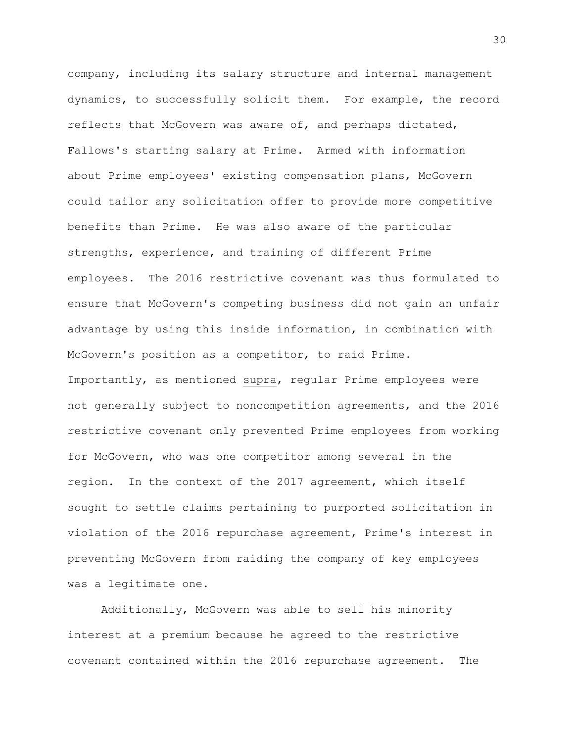company, including its salary structure and internal management dynamics, to successfully solicit them. For example, the record reflects that McGovern was aware of, and perhaps dictated, Fallows's starting salary at Prime. Armed with information about Prime employees' existing compensation plans, McGovern could tailor any solicitation offer to provide more competitive benefits than Prime. He was also aware of the particular strengths, experience, and training of different Prime employees. The 2016 restrictive covenant was thus formulated to ensure that McGovern's competing business did not gain an unfair advantage by using this inside information, in combination with McGovern's position as a competitor, to raid Prime. Importantly, as mentioned supra, regular Prime employees were not generally subject to noncompetition agreements, and the 2016 restrictive covenant only prevented Prime employees from working for McGovern, who was one competitor among several in the region. In the context of the 2017 agreement, which itself sought to settle claims pertaining to purported solicitation in violation of the 2016 repurchase agreement, Prime's interest in preventing McGovern from raiding the company of key employees was a legitimate one.

Additionally, McGovern was able to sell his minority interest at a premium because he agreed to the restrictive covenant contained within the 2016 repurchase agreement. The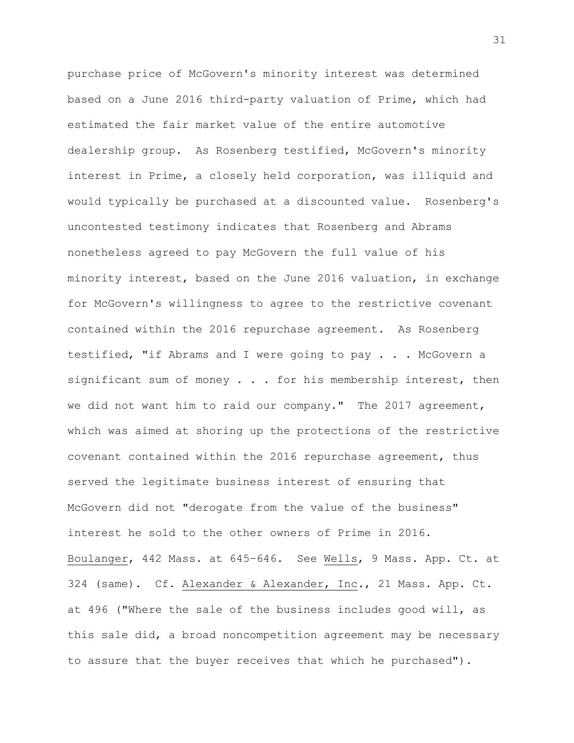purchase price of McGovern's minority interest was determined based on a June 2016 third-party valuation of Prime, which had estimated the fair market value of the entire automotive dealership group. As Rosenberg testified, McGovern's minority interest in Prime, a closely held corporation, was illiquid and would typically be purchased at a discounted value. Rosenberg's uncontested testimony indicates that Rosenberg and Abrams nonetheless agreed to pay McGovern the full value of his minority interest, based on the June 2016 valuation, in exchange for McGovern's willingness to agree to the restrictive covenant contained within the 2016 repurchase agreement. As Rosenberg testified, "if Abrams and I were going to pay . . . McGovern a significant sum of money  $\ldots$  for his membership interest, then we did not want him to raid our company." The 2017 agreement, which was aimed at shoring up the protections of the restrictive covenant contained within the 2016 repurchase agreement, thus served the legitimate business interest of ensuring that McGovern did not "derogate from the value of the business" interest he sold to the other owners of Prime in 2016. Boulanger, 442 Mass. at 645–646. See Wells, 9 Mass. App. Ct. at 324 (same). Cf. Alexander & Alexander, Inc., 21 Mass. App. Ct. at 496 ("Where the sale of the business includes good will, as this sale did, a broad noncompetition agreement may be necessary to assure that the buyer receives that which he purchased").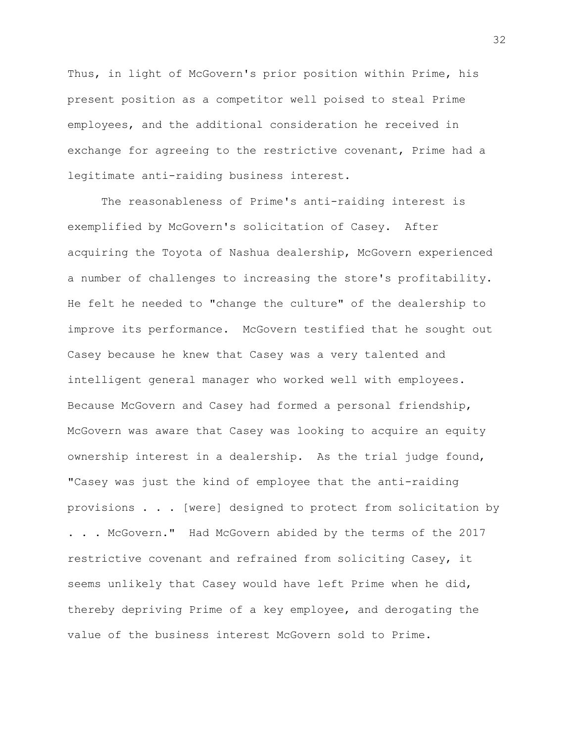Thus, in light of McGovern's prior position within Prime, his present position as a competitor well poised to steal Prime employees, and the additional consideration he received in exchange for agreeing to the restrictive covenant, Prime had a legitimate anti-raiding business interest.

The reasonableness of Prime's anti-raiding interest is exemplified by McGovern's solicitation of Casey. After acquiring the Toyota of Nashua dealership, McGovern experienced a number of challenges to increasing the store's profitability. He felt he needed to "change the culture" of the dealership to improve its performance. McGovern testified that he sought out Casey because he knew that Casey was a very talented and intelligent general manager who worked well with employees. Because McGovern and Casey had formed a personal friendship, McGovern was aware that Casey was looking to acquire an equity ownership interest in a dealership. As the trial judge found, "Casey was just the kind of employee that the anti-raiding provisions . . . [were] designed to protect from solicitation by . . . McGovern." Had McGovern abided by the terms of the 2017 restrictive covenant and refrained from soliciting Casey, it seems unlikely that Casey would have left Prime when he did, thereby depriving Prime of a key employee, and derogating the value of the business interest McGovern sold to Prime.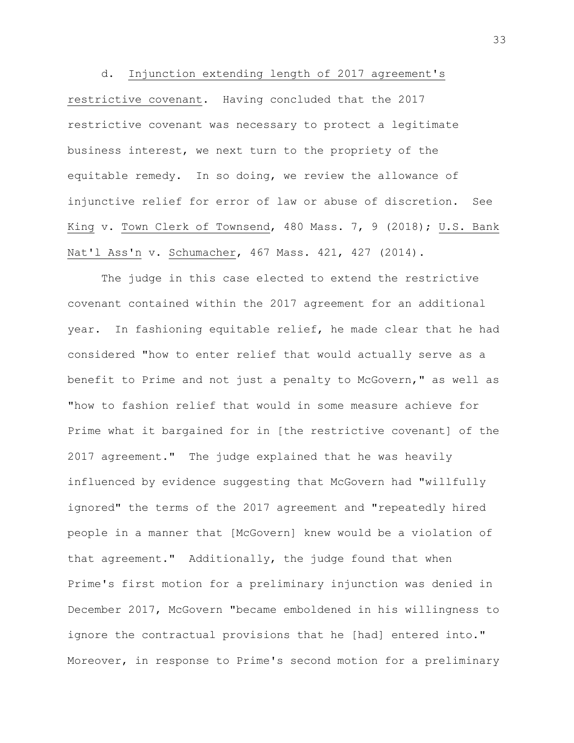d. Injunction extending length of 2017 agreement's restrictive covenant. Having concluded that the 2017 restrictive covenant was necessary to protect a legitimate business interest, we next turn to the propriety of the equitable remedy. In so doing, we review the allowance of injunctive relief for error of law or abuse of discretion. See King v. Town Clerk of Townsend, 480 Mass. 7, 9 (2018); U.S. Bank Nat'l Ass'n v. Schumacher, 467 Mass. 421, 427 (2014).

The judge in this case elected to extend the restrictive covenant contained within the 2017 agreement for an additional year. In fashioning equitable relief, he made clear that he had considered "how to enter relief that would actually serve as a benefit to Prime and not just a penalty to McGovern," as well as "how to fashion relief that would in some measure achieve for Prime what it bargained for in [the restrictive covenant] of the 2017 agreement." The judge explained that he was heavily influenced by evidence suggesting that McGovern had "willfully ignored" the terms of the 2017 agreement and "repeatedly hired people in a manner that [McGovern] knew would be a violation of that agreement." Additionally, the judge found that when Prime's first motion for a preliminary injunction was denied in December 2017, McGovern "became emboldened in his willingness to ignore the contractual provisions that he [had] entered into." Moreover, in response to Prime's second motion for a preliminary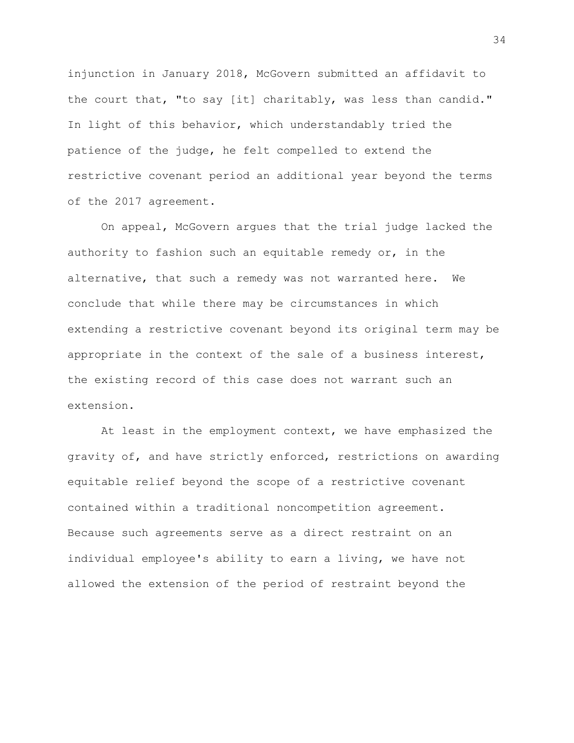injunction in January 2018, McGovern submitted an affidavit to the court that, "to say [it] charitably, was less than candid." In light of this behavior, which understandably tried the patience of the judge, he felt compelled to extend the restrictive covenant period an additional year beyond the terms of the 2017 agreement.

On appeal, McGovern argues that the trial judge lacked the authority to fashion such an equitable remedy or, in the alternative, that such a remedy was not warranted here. We conclude that while there may be circumstances in which extending a restrictive covenant beyond its original term may be appropriate in the context of the sale of a business interest, the existing record of this case does not warrant such an extension.

At least in the employment context, we have emphasized the gravity of, and have strictly enforced, restrictions on awarding equitable relief beyond the scope of a restrictive covenant contained within a traditional noncompetition agreement. Because such agreements serve as a direct restraint on an individual employee's ability to earn a living, we have not allowed the extension of the period of restraint beyond the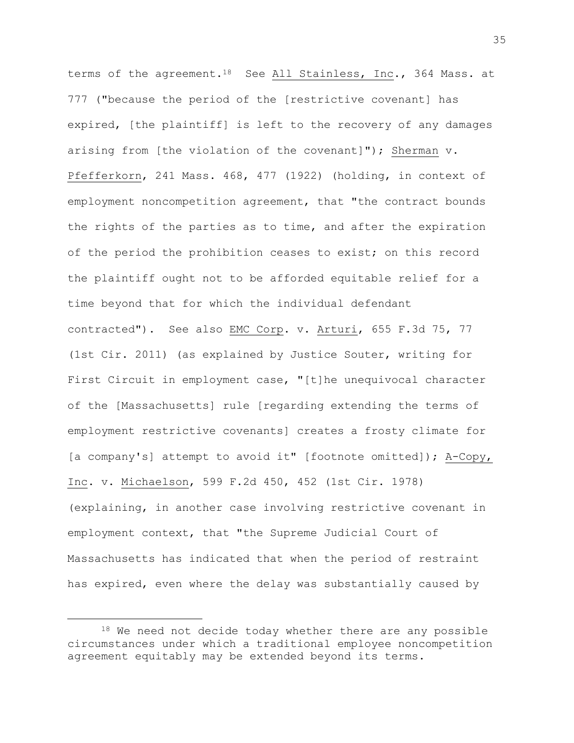terms of the agreement.<sup>18</sup> See All Stainless, Inc., 364 Mass. at 777 ("because the period of the [restrictive covenant] has expired, [the plaintiff] is left to the recovery of any damages arising from [the violation of the covenant]"); Sherman  $v$ . Pfefferkorn, 241 Mass. 468, 477 (1922) (holding, in context of employment noncompetition agreement, that "the contract bounds the rights of the parties as to time, and after the expiration of the period the prohibition ceases to exist; on this record the plaintiff ought not to be afforded equitable relief for a time beyond that for which the individual defendant contracted"). See also EMC Corp. v. Arturi, 655 F.3d 75, 77 (1st Cir. 2011) (as explained by Justice Souter, writing for First Circuit in employment case, "[t]he unequivocal character of the [Massachusetts] rule [regarding extending the terms of employment restrictive covenants] creates a frosty climate for [a company's] attempt to avoid it" [footnote omitted]); A-Copy, Inc. v. Michaelson, 599 F.2d 450, 452 (1st Cir. 1978) (explaining, in another case involving restrictive covenant in employment context, that "the Supreme Judicial Court of Massachusetts has indicated that when the period of restraint has expired, even where the delay was substantially caused by

 $18$  We need not decide today whether there are any possible circumstances under which a traditional employee noncompetition agreement equitably may be extended beyond its terms.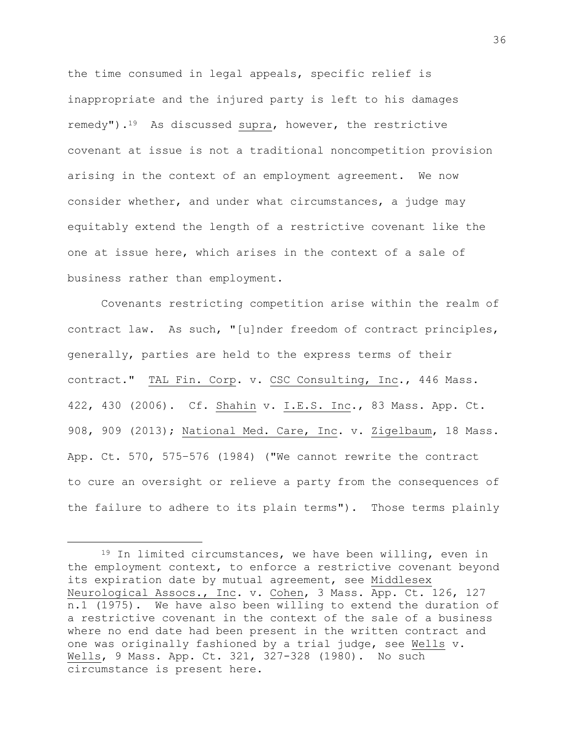the time consumed in legal appeals, specific relief is inappropriate and the injured party is left to his damages remedy").<sup>19</sup> As discussed supra, however, the restrictive covenant at issue is not a traditional noncompetition provision arising in the context of an employment agreement. We now consider whether, and under what circumstances, a judge may equitably extend the length of a restrictive covenant like the one at issue here, which arises in the context of a sale of business rather than employment.

Covenants restricting competition arise within the realm of contract law. As such, "[u]nder freedom of contract principles, generally, parties are held to the express terms of their contract." TAL Fin. Corp. v. CSC Consulting, Inc., 446 Mass. 422, 430 (2006). Cf. Shahin v. I.E.S. Inc., 83 Mass. App. Ct. 908, 909 (2013); National Med. Care, Inc. v. Zigelbaum, 18 Mass. App. Ct. 570, 575–576 (1984) ("We cannot rewrite the contract to cure an oversight or relieve a party from the consequences of the failure to adhere to its plain terms"). Those terms plainly

<sup>19</sup> In limited circumstances, we have been willing, even in the employment context, to enforce a restrictive covenant beyond its expiration date by mutual agreement, see Middlesex Neurological Assocs., Inc. v. Cohen, 3 Mass. App. Ct. 126, 127 n.1 (1975). We have also been willing to extend the duration of a restrictive covenant in the context of the sale of a business where no end date had been present in the written contract and one was originally fashioned by a trial judge, see Wells v. Wells, 9 Mass. App. Ct. 321, 327-328 (1980). No such circumstance is present here.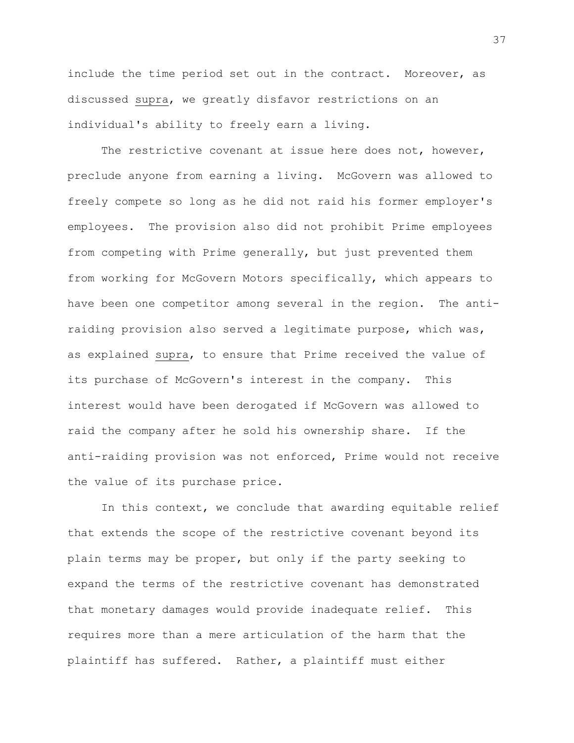include the time period set out in the contract. Moreover, as discussed supra, we greatly disfavor restrictions on an individual's ability to freely earn a living.

The restrictive covenant at issue here does not, however, preclude anyone from earning a living. McGovern was allowed to freely compete so long as he did not raid his former employer's employees. The provision also did not prohibit Prime employees from competing with Prime generally, but just prevented them from working for McGovern Motors specifically, which appears to have been one competitor among several in the region. The antiraiding provision also served a legitimate purpose, which was, as explained supra, to ensure that Prime received the value of its purchase of McGovern's interest in the company. This interest would have been derogated if McGovern was allowed to raid the company after he sold his ownership share. If the anti-raiding provision was not enforced, Prime would not receive the value of its purchase price.

In this context, we conclude that awarding equitable relief that extends the scope of the restrictive covenant beyond its plain terms may be proper, but only if the party seeking to expand the terms of the restrictive covenant has demonstrated that monetary damages would provide inadequate relief. This requires more than a mere articulation of the harm that the plaintiff has suffered. Rather, a plaintiff must either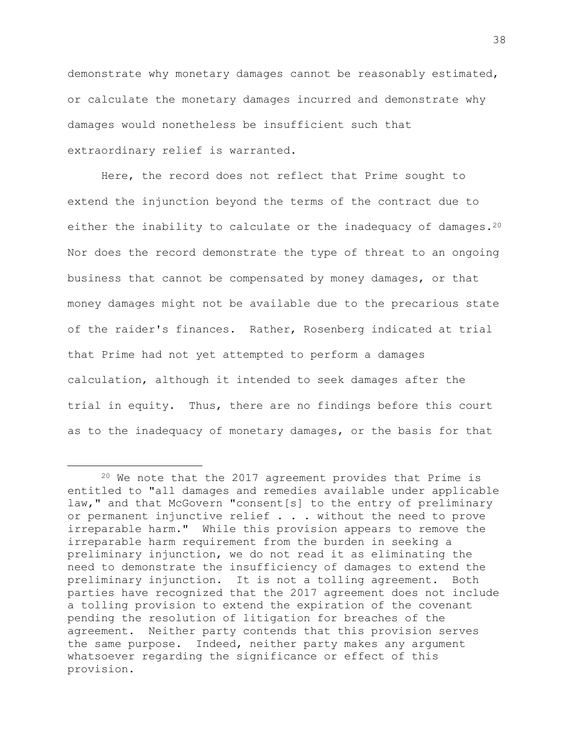demonstrate why monetary damages cannot be reasonably estimated, or calculate the monetary damages incurred and demonstrate why damages would nonetheless be insufficient such that extraordinary relief is warranted.

Here, the record does not reflect that Prime sought to extend the injunction beyond the terms of the contract due to either the inability to calculate or the inadequacy of damages.<sup>20</sup> Nor does the record demonstrate the type of threat to an ongoing business that cannot be compensated by money damages, or that money damages might not be available due to the precarious state of the raider's finances. Rather, Rosenberg indicated at trial that Prime had not yet attempted to perform a damages calculation, although it intended to seek damages after the trial in equity. Thus, there are no findings before this court as to the inadequacy of monetary damages, or the basis for that

<sup>20</sup> We note that the 2017 agreement provides that Prime is entitled to "all damages and remedies available under applicable law," and that McGovern "consent[s] to the entry of preliminary or permanent injunctive relief . . . without the need to prove irreparable harm." While this provision appears to remove the irreparable harm requirement from the burden in seeking a preliminary injunction, we do not read it as eliminating the need to demonstrate the insufficiency of damages to extend the preliminary injunction. It is not a tolling agreement. Both parties have recognized that the 2017 agreement does not include a tolling provision to extend the expiration of the covenant pending the resolution of litigation for breaches of the agreement. Neither party contends that this provision serves the same purpose. Indeed, neither party makes any argument whatsoever regarding the significance or effect of this provision.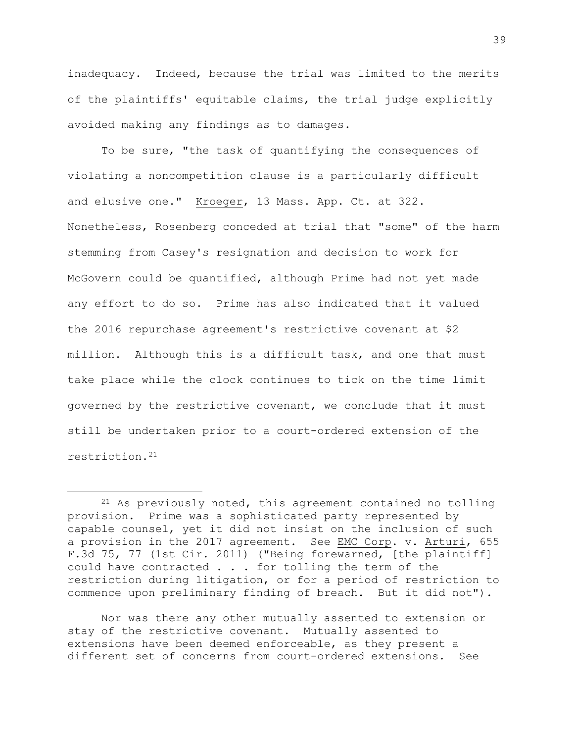inadequacy. Indeed, because the trial was limited to the merits of the plaintiffs' equitable claims, the trial judge explicitly avoided making any findings as to damages.

To be sure, "the task of quantifying the consequences of violating a noncompetition clause is a particularly difficult and elusive one." Kroeger, 13 Mass. App. Ct. at 322. Nonetheless, Rosenberg conceded at trial that "some" of the harm stemming from Casey's resignation and decision to work for McGovern could be quantified, although Prime had not yet made any effort to do so. Prime has also indicated that it valued the 2016 repurchase agreement's restrictive covenant at \$2 million. Although this is a difficult task, and one that must take place while the clock continues to tick on the time limit governed by the restrictive covenant, we conclude that it must still be undertaken prior to a court-ordered extension of the restriction.<sup>21</sup>

L,

Nor was there any other mutually assented to extension or stay of the restrictive covenant. Mutually assented to extensions have been deemed enforceable, as they present a different set of concerns from court-ordered extensions. See

<sup>&</sup>lt;sup>21</sup> As previously noted, this agreement contained no tolling provision. Prime was a sophisticated party represented by capable counsel, yet it did not insist on the inclusion of such a provision in the 2017 agreement. See EMC Corp. v. Arturi, 655 F.3d 75, 77 (1st Cir. 2011) ("Being forewarned, [the plaintiff] could have contracted . . . for tolling the term of the restriction during litigation, or for a period of restriction to commence upon preliminary finding of breach. But it did not").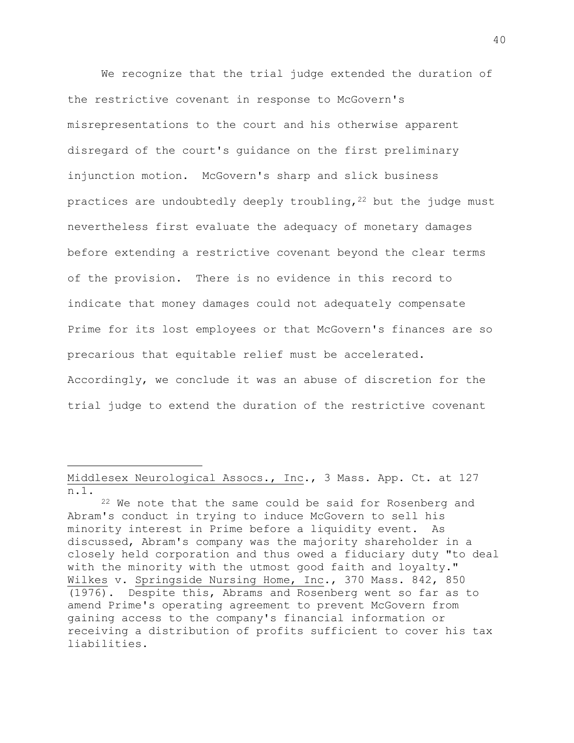We recognize that the trial judge extended the duration of the restrictive covenant in response to McGovern's misrepresentations to the court and his otherwise apparent disregard of the court's guidance on the first preliminary injunction motion. McGovern's sharp and slick business practices are undoubtedly deeply troubling,  $22$  but the judge must nevertheless first evaluate the adequacy of monetary damages before extending a restrictive covenant beyond the clear terms of the provision. There is no evidence in this record to indicate that money damages could not adequately compensate Prime for its lost employees or that McGovern's finances are so precarious that equitable relief must be accelerated. Accordingly, we conclude it was an abuse of discretion for the trial judge to extend the duration of the restrictive covenant

Middlesex Neurological Assocs., Inc., 3 Mass. App. Ct. at 127 n.1.

<sup>22</sup> We note that the same could be said for Rosenberg and Abram's conduct in trying to induce McGovern to sell his minority interest in Prime before a liquidity event. As discussed, Abram's company was the majority shareholder in a closely held corporation and thus owed a fiduciary duty "to deal with the minority with the utmost good faith and loyalty." Wilkes v. Springside Nursing Home, Inc., 370 Mass. 842, 850 (1976). Despite this, Abrams and Rosenberg went so far as to amend Prime's operating agreement to prevent McGovern from gaining access to the company's financial information or receiving a distribution of profits sufficient to cover his tax liabilities.